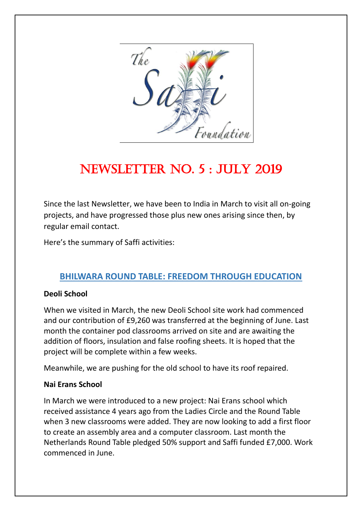

# NEWSLETTER NO. 5 : JULY 2019

Since the last Newsletter, we have been to India in March to visit all on-going projects, and have progressed those plus new ones arising since then, by regular email contact.

Here's the summary of Saffi activities:

#### **BHILWARA ROUND TABLE: FREEDOM THROUGH EDUCATION**

#### **Deoli School**

When we visited in March, the new Deoli School site work had commenced and our contribution of £9,260 was transferred at the beginning of June. Last month the container pod classrooms arrived on site and are awaiting the addition of floors, insulation and false roofing sheets. It is hoped that the project will be complete within a few weeks.

Meanwhile, we are pushing for the old school to have its roof repaired.

#### **Nai Erans School**

In March we were introduced to a new project: Nai Erans school which received assistance 4 years ago from the Ladies Circle and the Round Table when 3 new classrooms were added. They are now looking to add a first floor to create an assembly area and a computer classroom. Last month the Netherlands Round Table pledged 50% support and Saffi funded £7,000. Work commenced in June.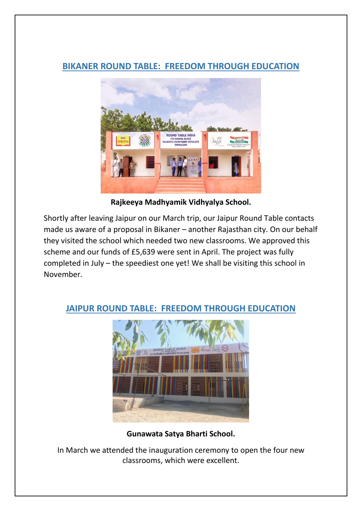## **BIKANER ROUND TABLE: FREEDOM THROUGH EDUCATION**



**Rajkeeya Madhyamik Vidhyalya School.**

Shortly after leaving Jaipur on our March trip, our Jaipur Round Table contacts made us aware of a proposal in Bikaner – another Rajasthan city. On our behalf they visited the school which needed two new classrooms. We approved this scheme and our funds of £5,639 were sent in April. The project was fully completed in July – the speediest one yet! We shall be visiting this school in November.



## **JAIPUR ROUND TABLE: FREEDOM THROUGH EDUCATION**

**Gunawata Satya Bharti School.**

In March we attended the inauguration ceremony to open the four new classrooms, which were excellent.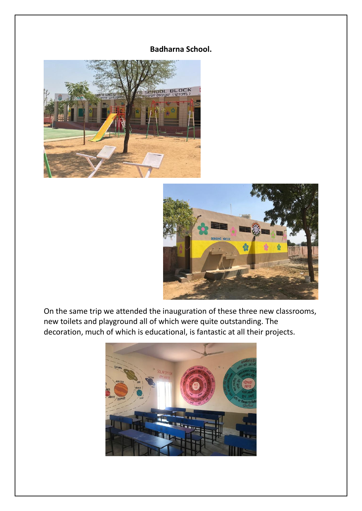#### **Badharna School.**





On the same trip we attended the inauguration of these three new classrooms, new toilets and playground all of which were quite outstanding. The decoration, much of which is educational, is fantastic at all their projects.

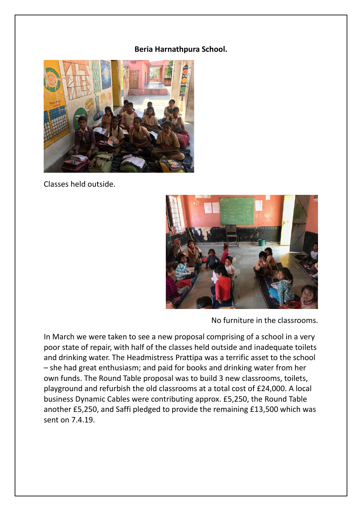#### **Beria Harnathpura School.**



Classes held outside.



No furniture in the classrooms.

In March we were taken to see a new proposal comprising of a school in a very poor state of repair, with half of the classes held outside and inadequate toilets and drinking water. The Headmistress Prattipa was a terrific asset to the school – she had great enthusiasm; and paid for books and drinking water from her own funds. The Round Table proposal was to build 3 new classrooms, toilets, playground and refurbish the old classrooms at a total cost of £24,000. A local business Dynamic Cables were contributing approx. £5,250, the Round Table another £5,250, and Saffi pledged to provide the remaining £13,500 which was sent on 7.4.19.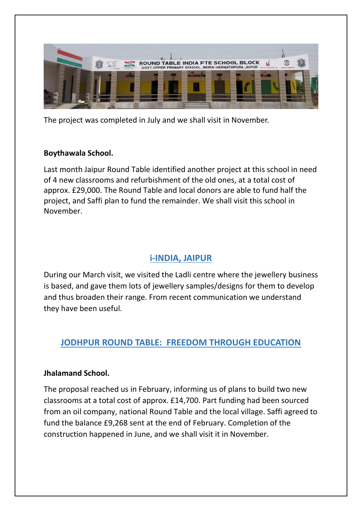

The project was completed in July and we shall visit in November.

#### **Boythawala School.**

Last month Jaipur Round Table identified another project at this school in need of 4 new classrooms and refurbishment of the old ones, at a total cost of approx. £29,000. The Round Table and local donors are able to fund half the project, and Saffi plan to fund the remainder. We shall visit this school in November.

# **i-INDIA, JAIPUR**

During our March visit, we visited the Ladli centre where the jewellery business is based, and gave them lots of jewellery samples/designs for them to develop and thus broaden their range. From recent communication we understand they have been useful.

# **JODHPUR ROUND TABLE: FREEDOM THROUGH EDUCATION**

#### **Jhalamand School.**

The proposal reached us in February, informing us of plans to build two new classrooms at a total cost of approx. £14,700. Part funding had been sourced from an oil company, national Round Table and the local village. Saffi agreed to fund the balance £9,268 sent at the end of February. Completion of the construction happened in June, and we shall visit it in November.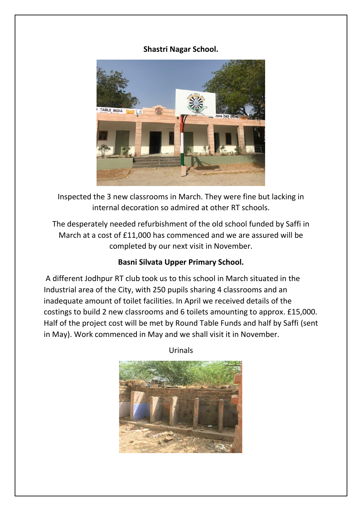#### **Shastri Nagar School.**



Inspected the 3 new classrooms in March. They were fine but lacking in internal decoration so admired at other RT schools.

The desperately needed refurbishment of the old school funded by Saffi in March at a cost of £11,000 has commenced and we are assured will be completed by our next visit in November.

#### **Basni Silvata Upper Primary School.**

A different Jodhpur RT club took us to this school in March situated in the Industrial area of the City, with 250 pupils sharing 4 classrooms and an inadequate amount of toilet facilities. In April we received details of the costings to build 2 new classrooms and 6 toilets amounting to approx. £15,000. Half of the project cost will be met by Round Table Funds and half by Saffi (sent in May). Work commenced in May and we shall visit it in November.

Urinals

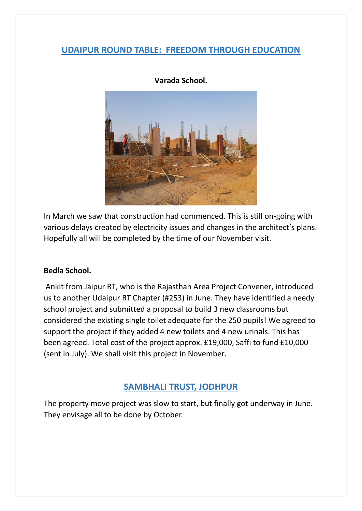#### **UDAIPUR ROUND TABLE: FREEDOM THROUGH EDUCATION**



**Varada School.**

In March we saw that construction had commenced. This is still on-going with various delays created by electricity issues and changes in the architect's plans. Hopefully all will be completed by the time of our November visit.

#### **Bedla School.**

Ankit from Jaipur RT, who is the Rajasthan Area Project Convener, introduced us to another Udaipur RT Chapter (#253) in June. They have identified a needy school project and submitted a proposal to build 3 new classrooms but considered the existing single toilet adequate for the 250 pupils! We agreed to support the project if they added 4 new toilets and 4 new urinals. This has been agreed. Total cost of the project approx. £19,000, Saffi to fund £10,000 (sent in July). We shall visit this project in November.

## **SAMBHALI TRUST, JODHPUR**

The property move project was slow to start, but finally got underway in June. They envisage all to be done by October.